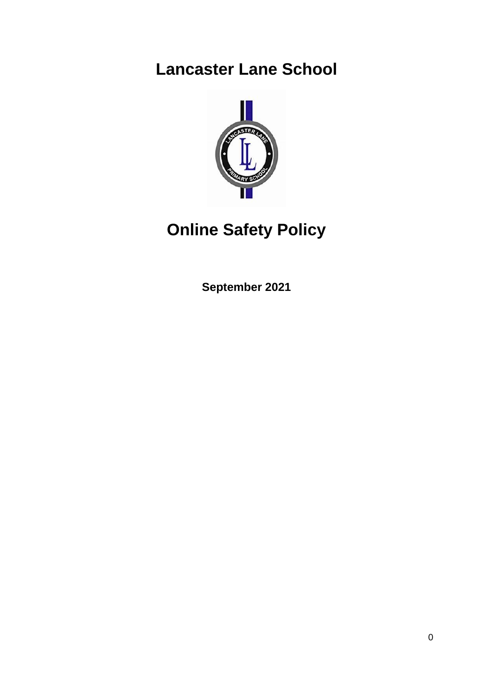# **Lancaster Lane School**



# **Online Safety Policy**

**September 2021**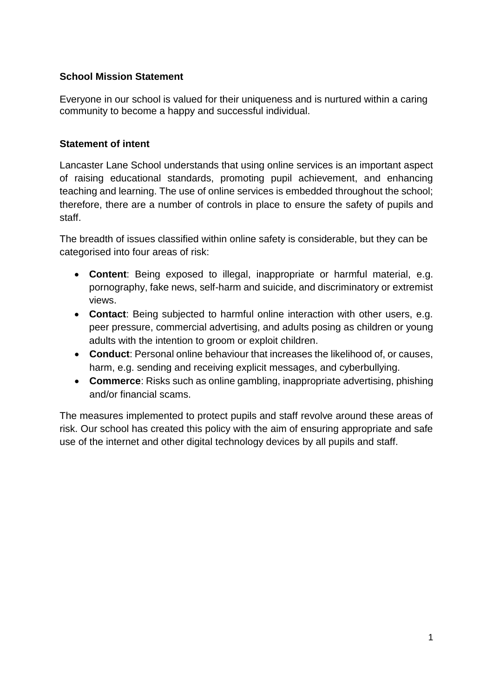#### **School Mission Statement**

Everyone in our school is valued for their uniqueness and is nurtured within a caring community to become a happy and successful individual.

### **Statement of intent**

Lancaster Lane School understands that using online services is an important aspect of raising educational standards, promoting pupil achievement, and enhancing teaching and learning. The use of online services is embedded throughout the school; therefore, there are a number of controls in place to ensure the safety of pupils and staff.

The breadth of issues classified within online safety is considerable, but they can be categorised into four areas of risk:

- **Content**: Being exposed to illegal, inappropriate or harmful material, e.g. pornography, fake news, self-harm and suicide, and discriminatory or extremist views.
- **Contact**: Being subjected to harmful online interaction with other users, e.g. peer pressure, commercial advertising, and adults posing as children or young adults with the intention to groom or exploit children.
- **Conduct**: Personal online behaviour that increases the likelihood of, or causes, harm, e.g. sending and receiving explicit messages, and cyberbullying.
- **Commerce**: Risks such as online gambling, inappropriate advertising, phishing and/or financial scams.

The measures implemented to protect pupils and staff revolve around these areas of risk. Our school has created this policy with the aim of ensuring appropriate and safe use of the internet and other digital technology devices by all pupils and staff.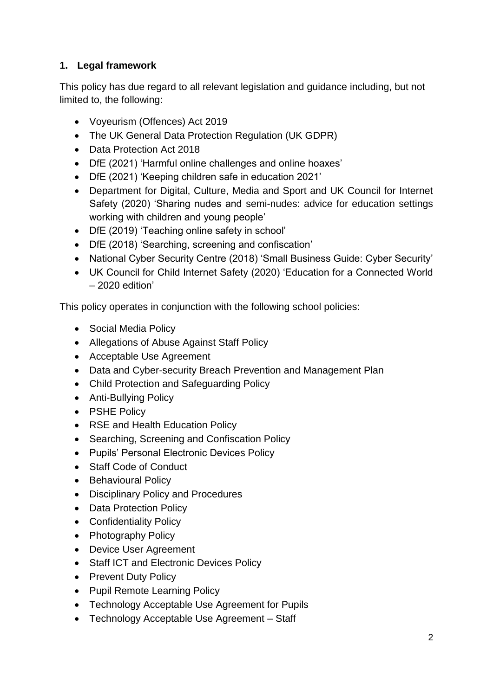# **1. Legal framework**

This policy has due regard to all relevant legislation and guidance including, but not limited to, the following:

- Voyeurism (Offences) Act 2019
- The UK General Data Protection Regulation (UK GDPR)
- Data Protection Act 2018
- DfE (2021) 'Harmful online challenges and online hoaxes'
- DfE (2021) 'Keeping children safe in education 2021'
- Department for Digital, Culture, Media and Sport and UK Council for Internet Safety (2020) 'Sharing nudes and semi-nudes: advice for education settings working with children and young people'
- DfE (2019) 'Teaching online safety in school'
- DfE (2018) 'Searching, screening and confiscation'
- National Cyber Security Centre (2018) 'Small Business Guide: Cyber Security'
- UK Council for Child Internet Safety (2020) 'Education for a Connected World – 2020 edition'

This policy operates in conjunction with the following school policies:

- Social Media Policy
- Allegations of Abuse Against Staff Policy
- Acceptable Use Agreement
- Data and Cyber-security Breach Prevention and Management Plan
- Child Protection and Safeguarding Policy
- Anti-Bullying Policy
- PSHE Policy
- RSE and Health Education Policy
- Searching, Screening and Confiscation Policy
- Pupils' Personal Electronic Devices Policy
- Staff Code of Conduct
- Behavioural Policy
- Disciplinary Policy and Procedures
- Data Protection Policy
- Confidentiality Policy
- Photography Policy
- Device User Agreement
- Staff ICT and Electronic Devices Policy
- Prevent Duty Policy
- Pupil Remote Learning Policy
- Technology Acceptable Use Agreement for Pupils
- Technology Acceptable Use Agreement Staff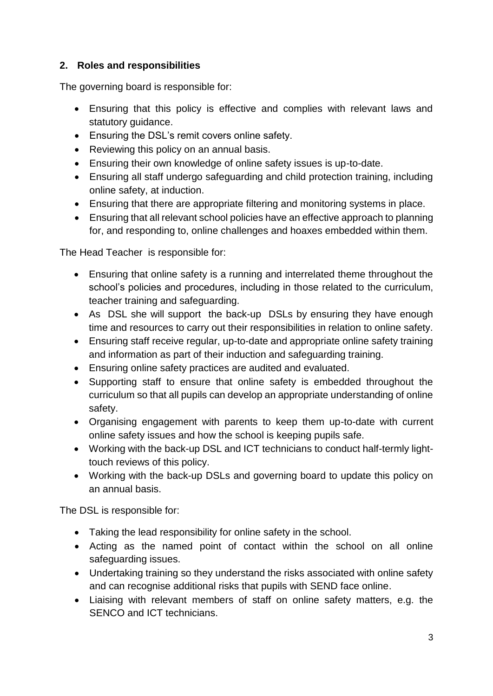# **2. Roles and responsibilities**

The governing board is responsible for:

- Ensuring that this policy is effective and complies with relevant laws and statutory guidance.
- Ensuring the DSL's remit covers online safety.
- Reviewing this policy on an annual basis.
- Ensuring their own knowledge of online safety issues is up-to-date.
- Ensuring all staff undergo safeguarding and child protection training, including online safety, at induction.
- Ensuring that there are appropriate filtering and monitoring systems in place.
- Ensuring that all relevant school policies have an effective approach to planning for, and responding to, online challenges and hoaxes embedded within them.

The Head Teacher is responsible for:

- Ensuring that online safety is a running and interrelated theme throughout the school's policies and procedures, including in those related to the curriculum, teacher training and safeguarding.
- As DSL she will support the back-up DSLs by ensuring they have enough time and resources to carry out their responsibilities in relation to online safety.
- Ensuring staff receive regular, up-to-date and appropriate online safety training and information as part of their induction and safeguarding training.
- Ensuring online safety practices are audited and evaluated.
- Supporting staff to ensure that online safety is embedded throughout the curriculum so that all pupils can develop an appropriate understanding of online safety.
- Organising engagement with parents to keep them up-to-date with current online safety issues and how the school is keeping pupils safe.
- Working with the back-up DSL and ICT technicians to conduct half-termly lighttouch reviews of this policy.
- Working with the back-up DSLs and governing board to update this policy on an annual basis.

The DSL is responsible for:

- Taking the lead responsibility for online safety in the school.
- Acting as the named point of contact within the school on all online safeguarding issues.
- Undertaking training so they understand the risks associated with online safety and can recognise additional risks that pupils with SEND face online.
- Liaising with relevant members of staff on online safety matters, e.g. the SENCO and ICT technicians.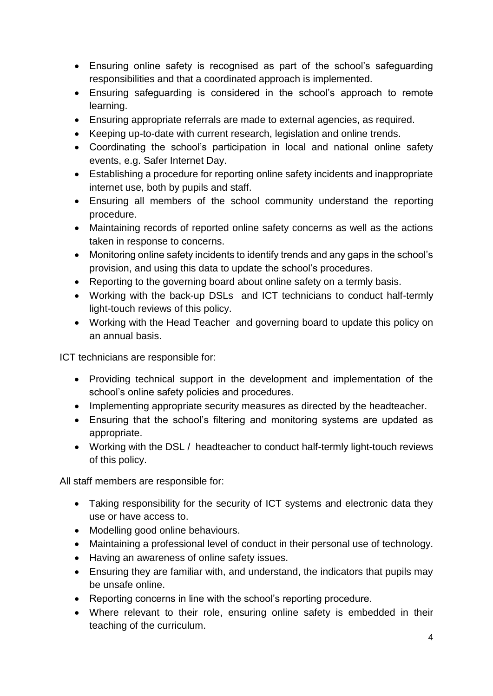- Ensuring online safety is recognised as part of the school's safeguarding responsibilities and that a coordinated approach is implemented.
- Ensuring safeguarding is considered in the school's approach to remote learning.
- Ensuring appropriate referrals are made to external agencies, as required.
- Keeping up-to-date with current research, legislation and online trends.
- Coordinating the school's participation in local and national online safety events, e.g. Safer Internet Day.
- Establishing a procedure for reporting online safety incidents and inappropriate internet use, both by pupils and staff.
- Ensuring all members of the school community understand the reporting procedure.
- Maintaining records of reported online safety concerns as well as the actions taken in response to concerns.
- Monitoring online safety incidents to identify trends and any gaps in the school's provision, and using this data to update the school's procedures.
- Reporting to the governing board about online safety on a termly basis.
- Working with the back-up DSLs and ICT technicians to conduct half-termly light-touch reviews of this policy.
- Working with the Head Teacher and governing board to update this policy on an annual basis.

ICT technicians are responsible for:

- Providing technical support in the development and implementation of the school's online safety policies and procedures.
- Implementing appropriate security measures as directed by the headteacher.
- Ensuring that the school's filtering and monitoring systems are updated as appropriate.
- Working with the DSL / headteacher to conduct half-termly light-touch reviews of this policy.

All staff members are responsible for:

- Taking responsibility for the security of ICT systems and electronic data they use or have access to.
- Modelling good online behaviours.
- Maintaining a professional level of conduct in their personal use of technology.
- Having an awareness of online safety issues.
- Ensuring they are familiar with, and understand, the indicators that pupils may be unsafe online.
- Reporting concerns in line with the school's reporting procedure.
- Where relevant to their role, ensuring online safety is embedded in their teaching of the curriculum.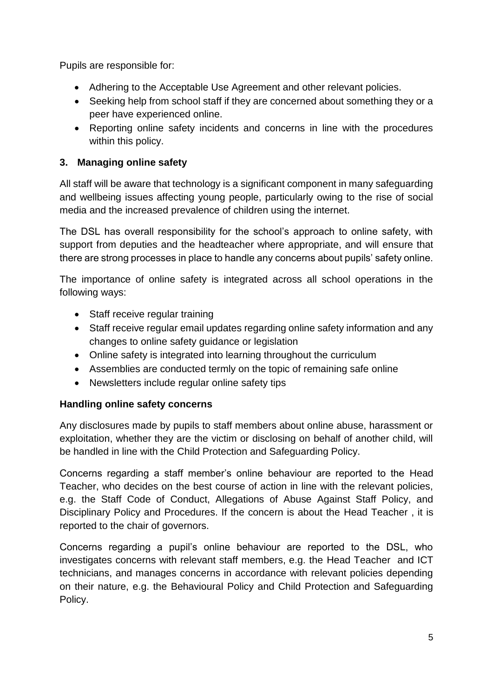Pupils are responsible for:

- Adhering to the Acceptable Use Agreement and other relevant policies.
- Seeking help from school staff if they are concerned about something they or a peer have experienced online.
- Reporting online safety incidents and concerns in line with the procedures within this policy.

# **3. Managing online safety**

All staff will be aware that technology is a significant component in many safeguarding and wellbeing issues affecting young people, particularly owing to the rise of social media and the increased prevalence of children using the internet.

The DSL has overall responsibility for the school's approach to online safety, with support from deputies and the headteacher where appropriate, and will ensure that there are strong processes in place to handle any concerns about pupils' safety online.

The importance of online safety is integrated across all school operations in the following ways:

- Staff receive regular training
- Staff receive regular email updates regarding online safety information and any changes to online safety guidance or legislation
- Online safety is integrated into learning throughout the curriculum
- Assemblies are conducted termly on the topic of remaining safe online
- Newsletters include regular online safety tips

# **Handling online safety concerns**

Any disclosures made by pupils to staff members about online abuse, harassment or exploitation, whether they are the victim or disclosing on behalf of another child, will be handled in line with the Child Protection and Safeguarding Policy.

Concerns regarding a staff member's online behaviour are reported to the Head Teacher, who decides on the best course of action in line with the relevant policies, e.g. the Staff Code of Conduct, Allegations of Abuse Against Staff Policy, and Disciplinary Policy and Procedures. If the concern is about the Head Teacher , it is reported to the chair of governors.

Concerns regarding a pupil's online behaviour are reported to the DSL, who investigates concerns with relevant staff members, e.g. the Head Teacher and ICT technicians, and manages concerns in accordance with relevant policies depending on their nature, e.g. the Behavioural Policy and Child Protection and Safeguarding Policy.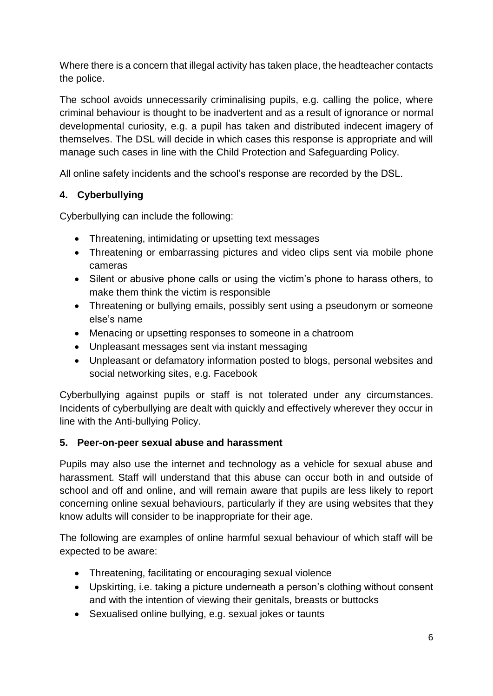Where there is a concern that illegal activity has taken place, the headteacher contacts the police.

The school avoids unnecessarily criminalising pupils, e.g. calling the police, where criminal behaviour is thought to be inadvertent and as a result of ignorance or normal developmental curiosity, e.g. a pupil has taken and distributed indecent imagery of themselves. The DSL will decide in which cases this response is appropriate and will manage such cases in line with the Child Protection and Safeguarding Policy.

All online safety incidents and the school's response are recorded by the DSL.

# **4. Cyberbullying**

Cyberbullying can include the following:

- Threatening, intimidating or upsetting text messages
- Threatening or embarrassing pictures and video clips sent via mobile phone cameras
- Silent or abusive phone calls or using the victim's phone to harass others, to make them think the victim is responsible
- Threatening or bullying emails, possibly sent using a pseudonym or someone else's name
- Menacing or upsetting responses to someone in a chatroom
- Unpleasant messages sent via instant messaging
- Unpleasant or defamatory information posted to blogs, personal websites and social networking sites, e.g. Facebook

Cyberbullying against pupils or staff is not tolerated under any circumstances. Incidents of cyberbullying are dealt with quickly and effectively wherever they occur in line with the Anti-bullying Policy.

#### **5. Peer-on-peer sexual abuse and harassment**

Pupils may also use the internet and technology as a vehicle for sexual abuse and harassment. Staff will understand that this abuse can occur both in and outside of school and off and online, and will remain aware that pupils are less likely to report concerning online sexual behaviours, particularly if they are using websites that they know adults will consider to be inappropriate for their age.

The following are examples of online harmful sexual behaviour of which staff will be expected to be aware:

- Threatening, facilitating or encouraging sexual violence
- Upskirting, i.e. taking a picture underneath a person's clothing without consent and with the intention of viewing their genitals, breasts or buttocks
- Sexualised online bullying, e.g. sexual jokes or taunts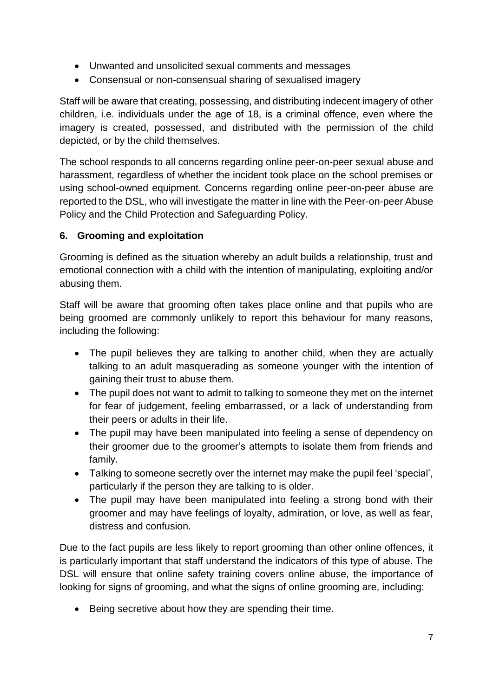- Unwanted and unsolicited sexual comments and messages
- Consensual or non-consensual sharing of sexualised imagery

Staff will be aware that creating, possessing, and distributing indecent imagery of other children, i.e. individuals under the age of 18, is a criminal offence, even where the imagery is created, possessed, and distributed with the permission of the child depicted, or by the child themselves.

The school responds to all concerns regarding online peer-on-peer sexual abuse and harassment, regardless of whether the incident took place on the school premises or using school-owned equipment. Concerns regarding online peer-on-peer abuse are reported to the DSL, who will investigate the matter in line with the Peer-on-peer Abuse Policy and the Child Protection and Safeguarding Policy.

### **6. Grooming and exploitation**

Grooming is defined as the situation whereby an adult builds a relationship, trust and emotional connection with a child with the intention of manipulating, exploiting and/or abusing them.

Staff will be aware that grooming often takes place online and that pupils who are being groomed are commonly unlikely to report this behaviour for many reasons, including the following:

- The pupil believes they are talking to another child, when they are actually talking to an adult masquerading as someone younger with the intention of gaining their trust to abuse them.
- The pupil does not want to admit to talking to someone they met on the internet for fear of judgement, feeling embarrassed, or a lack of understanding from their peers or adults in their life.
- The pupil may have been manipulated into feeling a sense of dependency on their groomer due to the groomer's attempts to isolate them from friends and family.
- Talking to someone secretly over the internet may make the pupil feel 'special', particularly if the person they are talking to is older.
- The pupil may have been manipulated into feeling a strong bond with their groomer and may have feelings of loyalty, admiration, or love, as well as fear, distress and confusion.

Due to the fact pupils are less likely to report grooming than other online offences, it is particularly important that staff understand the indicators of this type of abuse. The DSL will ensure that online safety training covers online abuse, the importance of looking for signs of grooming, and what the signs of online grooming are, including:

• Being secretive about how they are spending their time.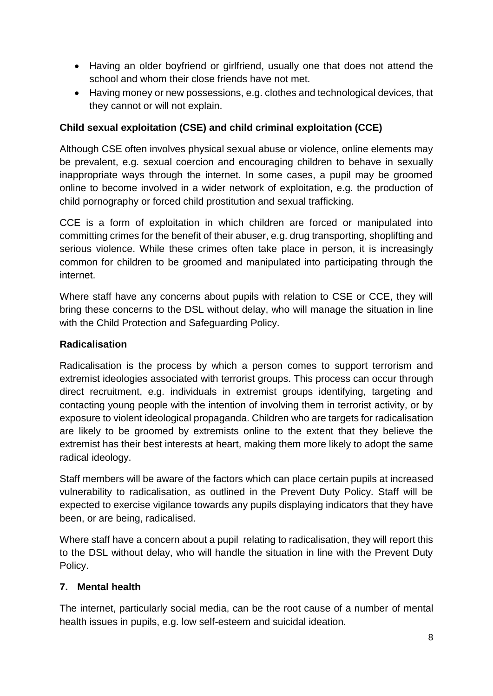- Having an older boyfriend or girlfriend, usually one that does not attend the school and whom their close friends have not met.
- Having money or new possessions, e.g. clothes and technological devices, that they cannot or will not explain.

# **Child sexual exploitation (CSE) and child criminal exploitation (CCE)**

Although CSE often involves physical sexual abuse or violence, online elements may be prevalent, e.g. sexual coercion and encouraging children to behave in sexually inappropriate ways through the internet. In some cases, a pupil may be groomed online to become involved in a wider network of exploitation, e.g. the production of child pornography or forced child prostitution and sexual trafficking.

CCE is a form of exploitation in which children are forced or manipulated into committing crimes for the benefit of their abuser, e.g. drug transporting, shoplifting and serious violence. While these crimes often take place in person, it is increasingly common for children to be groomed and manipulated into participating through the internet.

Where staff have any concerns about pupils with relation to CSE or CCE, they will bring these concerns to the DSL without delay, who will manage the situation in line with the Child Protection and Safeguarding Policy.

#### **Radicalisation**

Radicalisation is the process by which a person comes to support terrorism and extremist ideologies associated with terrorist groups. This process can occur through direct recruitment, e.g. individuals in extremist groups identifying, targeting and contacting young people with the intention of involving them in terrorist activity, or by exposure to violent ideological propaganda. Children who are targets for radicalisation are likely to be groomed by extremists online to the extent that they believe the extremist has their best interests at heart, making them more likely to adopt the same radical ideology.

Staff members will be aware of the factors which can place certain pupils at increased vulnerability to radicalisation, as outlined in the Prevent Duty Policy. Staff will be expected to exercise vigilance towards any pupils displaying indicators that they have been, or are being, radicalised.

Where staff have a concern about a pupil relating to radicalisation, they will report this to the DSL without delay, who will handle the situation in line with the Prevent Duty Policy.

#### **7. Mental health**

The internet, particularly social media, can be the root cause of a number of mental health issues in pupils, e.g. low self-esteem and suicidal ideation.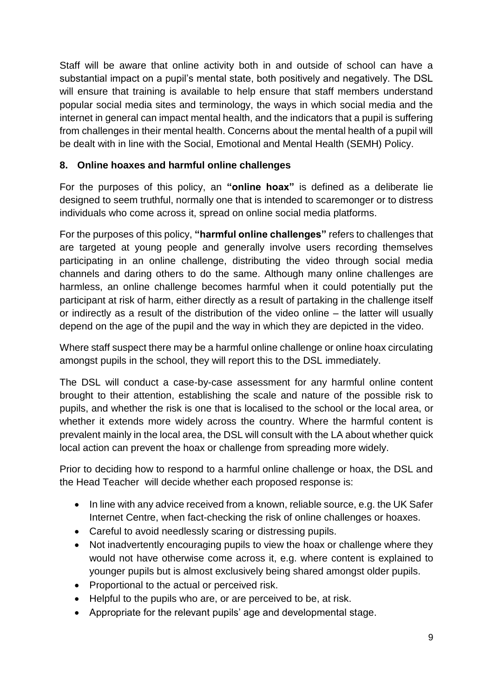Staff will be aware that online activity both in and outside of school can have a substantial impact on a pupil's mental state, both positively and negatively. The DSL will ensure that training is available to help ensure that staff members understand popular social media sites and terminology, the ways in which social media and the internet in general can impact mental health, and the indicators that a pupil is suffering from challenges in their mental health. Concerns about the mental health of a pupil will be dealt with in line with the Social, Emotional and Mental Health (SEMH) Policy.

# **8. Online hoaxes and harmful online challenges**

For the purposes of this policy, an **"online hoax"** is defined as a deliberate lie designed to seem truthful, normally one that is intended to scaremonger or to distress individuals who come across it, spread on online social media platforms.

For the purposes of this policy, **"harmful online challenges"** refers to challenges that are targeted at young people and generally involve users recording themselves participating in an online challenge, distributing the video through social media channels and daring others to do the same. Although many online challenges are harmless, an online challenge becomes harmful when it could potentially put the participant at risk of harm, either directly as a result of partaking in the challenge itself or indirectly as a result of the distribution of the video online – the latter will usually depend on the age of the pupil and the way in which they are depicted in the video.

Where staff suspect there may be a harmful online challenge or online hoax circulating amongst pupils in the school, they will report this to the DSL immediately.

The DSL will conduct a case-by-case assessment for any harmful online content brought to their attention, establishing the scale and nature of the possible risk to pupils, and whether the risk is one that is localised to the school or the local area, or whether it extends more widely across the country. Where the harmful content is prevalent mainly in the local area, the DSL will consult with the LA about whether quick local action can prevent the hoax or challenge from spreading more widely.

Prior to deciding how to respond to a harmful online challenge or hoax, the DSL and the Head Teacher will decide whether each proposed response is:

- In line with any advice received from a known, reliable source, e.g. the UK Safer Internet Centre, when fact-checking the risk of online challenges or hoaxes.
- Careful to avoid needlessly scaring or distressing pupils.
- Not inadvertently encouraging pupils to view the hoax or challenge where they would not have otherwise come across it, e.g. where content is explained to younger pupils but is almost exclusively being shared amongst older pupils.
- Proportional to the actual or perceived risk.
- Helpful to the pupils who are, or are perceived to be, at risk.
- Appropriate for the relevant pupils' age and developmental stage.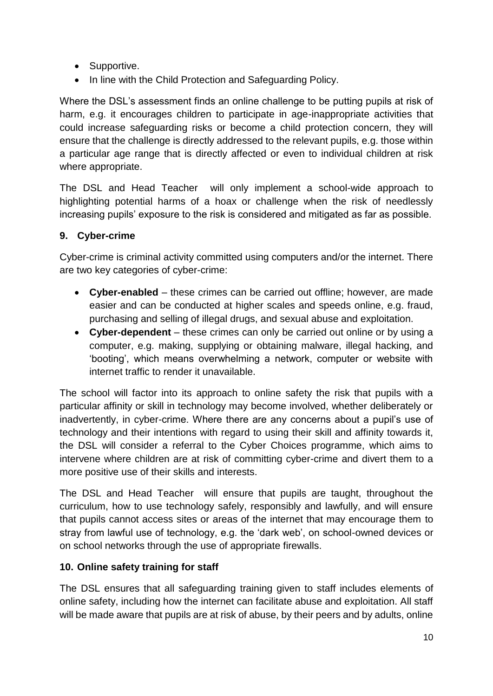- Supportive.
- In line with the Child Protection and Safeguarding Policy.

Where the DSL's assessment finds an online challenge to be putting pupils at risk of harm, e.g. it encourages children to participate in age-inappropriate activities that could increase safeguarding risks or become a child protection concern, they will ensure that the challenge is directly addressed to the relevant pupils, e.g. those within a particular age range that is directly affected or even to individual children at risk where appropriate.

The DSL and Head Teacher will only implement a school-wide approach to highlighting potential harms of a hoax or challenge when the risk of needlessly increasing pupils' exposure to the risk is considered and mitigated as far as possible.

# **9. Cyber-crime**

Cyber-crime is criminal activity committed using computers and/or the internet. There are two key categories of cyber-crime:

- **Cyber-enabled** these crimes can be carried out offline; however, are made easier and can be conducted at higher scales and speeds online, e.g. fraud, purchasing and selling of illegal drugs, and sexual abuse and exploitation.
- **Cyber-dependent**  these crimes can only be carried out online or by using a computer, e.g. making, supplying or obtaining malware, illegal hacking, and 'booting', which means overwhelming a network, computer or website with internet traffic to render it unavailable.

The school will factor into its approach to online safety the risk that pupils with a particular affinity or skill in technology may become involved, whether deliberately or inadvertently, in cyber-crime. Where there are any concerns about a pupil's use of technology and their intentions with regard to using their skill and affinity towards it, the DSL will consider a referral to the Cyber Choices programme, which aims to intervene where children are at risk of committing cyber-crime and divert them to a more positive use of their skills and interests.

The DSL and Head Teacher will ensure that pupils are taught, throughout the curriculum, how to use technology safely, responsibly and lawfully, and will ensure that pupils cannot access sites or areas of the internet that may encourage them to stray from lawful use of technology, e.g. the 'dark web', on school-owned devices or on school networks through the use of appropriate firewalls.

# **10. Online safety training for staff**

The DSL ensures that all safeguarding training given to staff includes elements of online safety, including how the internet can facilitate abuse and exploitation. All staff will be made aware that pupils are at risk of abuse, by their peers and by adults, online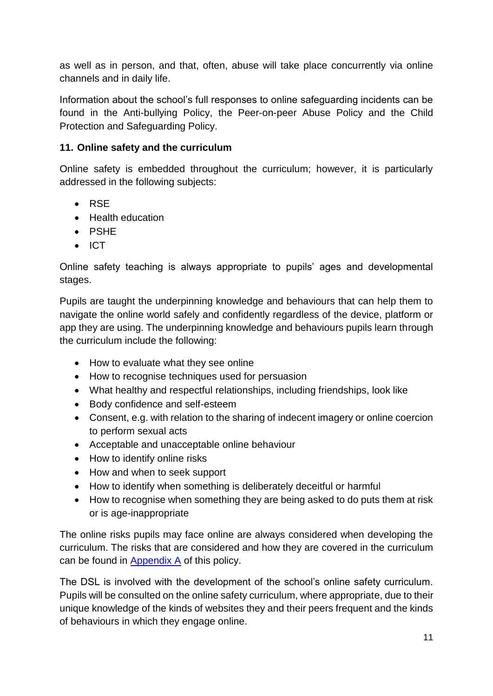as well as in person, and that, often, abuse will take place concurrently via online channels and in daily life.

Information about the school's full responses to online safeguarding incidents can be found in the Anti-bullying Policy, the Peer-on-peer Abuse Policy and the Child Protection and Safeguarding Policy.

# **11. Online safety and the curriculum**

Online safety is embedded throughout the curriculum; however, it is particularly addressed in the following subjects:

- $\bullet$  RSE
- Health education
- PSHE
- $\bullet$  ICT

Online safety teaching is always appropriate to pupils' ages and developmental stages.

Pupils are taught the underpinning knowledge and behaviours that can help them to navigate the online world safely and confidently regardless of the device, platform or app they are using. The underpinning knowledge and behaviours pupils learn through the curriculum include the following:

- How to evaluate what they see online
- How to recognise techniques used for persuasion
- What healthy and respectful relationships, including friendships, look like
- Body confidence and self-esteem
- Consent, e.g. with relation to the sharing of indecent imagery or online coercion to perform sexual acts
- Acceptable and unacceptable online behaviour
- How to identify online risks
- How and when to seek support
- How to identify when something is deliberately deceitful or harmful
- How to recognise when something they are being asked to do puts them at risk or is age-inappropriate

The online risks pupils may face online are always considered when developing the curriculum. The risks that are considered and how they are covered in the curriculum can be found in [Appendix A](#page-21-0) of this policy.

The DSL is involved with the development of the school's online safety curriculum. Pupils will be consulted on the online safety curriculum, where appropriate, due to their unique knowledge of the kinds of websites they and their peers frequent and the kinds of behaviours in which they engage online.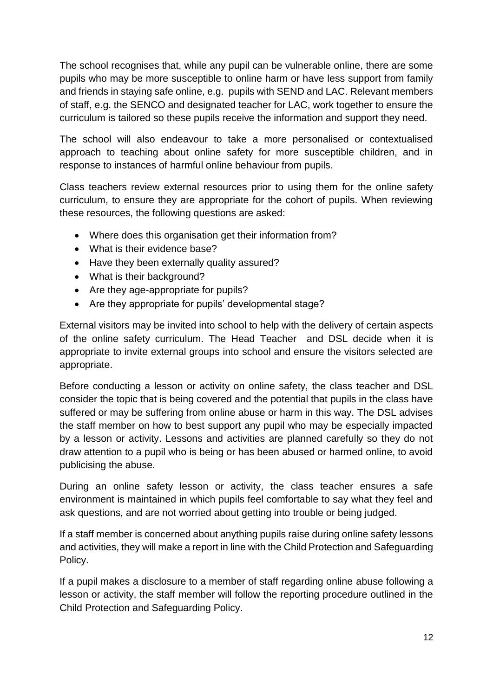The school recognises that, while any pupil can be vulnerable online, there are some pupils who may be more susceptible to online harm or have less support from family and friends in staying safe online, e.g. pupils with SEND and LAC. Relevant members of staff, e.g. the SENCO and designated teacher for LAC, work together to ensure the curriculum is tailored so these pupils receive the information and support they need.

The school will also endeavour to take a more personalised or contextualised approach to teaching about online safety for more susceptible children, and in response to instances of harmful online behaviour from pupils.

Class teachers review external resources prior to using them for the online safety curriculum, to ensure they are appropriate for the cohort of pupils. When reviewing these resources, the following questions are asked:

- Where does this organisation get their information from?
- What is their evidence base?
- Have they been externally quality assured?
- What is their background?
- Are they age-appropriate for pupils?
- Are they appropriate for pupils' developmental stage?

External visitors may be invited into school to help with the delivery of certain aspects of the online safety curriculum. The Head Teacher and DSL decide when it is appropriate to invite external groups into school and ensure the visitors selected are appropriate.

Before conducting a lesson or activity on online safety, the class teacher and DSL consider the topic that is being covered and the potential that pupils in the class have suffered or may be suffering from online abuse or harm in this way. The DSL advises the staff member on how to best support any pupil who may be especially impacted by a lesson or activity. Lessons and activities are planned carefully so they do not draw attention to a pupil who is being or has been abused or harmed online, to avoid publicising the abuse.

During an online safety lesson or activity, the class teacher ensures a safe environment is maintained in which pupils feel comfortable to say what they feel and ask questions, and are not worried about getting into trouble or being judged.

If a staff member is concerned about anything pupils raise during online safety lessons and activities, they will make a report in line with the Child Protection and Safeguarding Policy.

If a pupil makes a disclosure to a member of staff regarding online abuse following a lesson or activity, the staff member will follow the reporting procedure outlined in the Child Protection and Safeguarding Policy.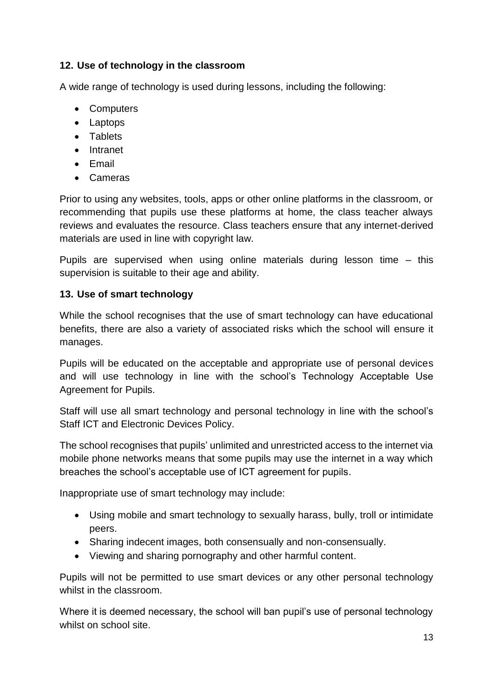# **12. Use of technology in the classroom**

A wide range of technology is used during lessons, including the following:

- Computers
- Laptops
- Tablets
- Intranet
- Email
- Cameras

Prior to using any websites, tools, apps or other online platforms in the classroom, or recommending that pupils use these platforms at home, the class teacher always reviews and evaluates the resource. Class teachers ensure that any internet-derived materials are used in line with copyright law.

Pupils are supervised when using online materials during lesson time – this supervision is suitable to their age and ability.

#### **13. Use of smart technology**

While the school recognises that the use of smart technology can have educational benefits, there are also a variety of associated risks which the school will ensure it manages.

Pupils will be educated on the acceptable and appropriate use of personal devices and will use technology in line with the school's Technology Acceptable Use Agreement for Pupils.

Staff will use all smart technology and personal technology in line with the school's Staff ICT and Electronic Devices Policy.

The school recognises that pupils' unlimited and unrestricted access to the internet via mobile phone networks means that some pupils may use the internet in a way which breaches the school's acceptable use of ICT agreement for pupils.

Inappropriate use of smart technology may include:

- Using mobile and smart technology to sexually harass, bully, troll or intimidate peers.
- Sharing indecent images, both consensually and non-consensually.
- Viewing and sharing pornography and other harmful content.

Pupils will not be permitted to use smart devices or any other personal technology whilst in the classroom.

Where it is deemed necessary, the school will ban pupil's use of personal technology whilst on school site.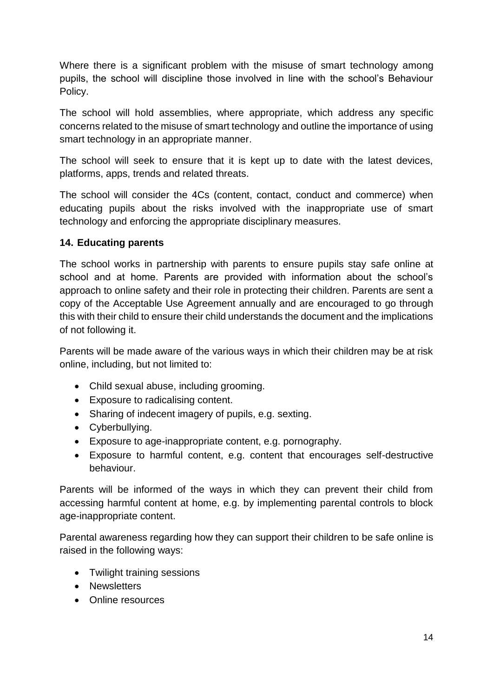Where there is a significant problem with the misuse of smart technology among pupils, the school will discipline those involved in line with the school's Behaviour Policy.

The school will hold assemblies, where appropriate, which address any specific concerns related to the misuse of smart technology and outline the importance of using smart technology in an appropriate manner.

The school will seek to ensure that it is kept up to date with the latest devices, platforms, apps, trends and related threats.

The school will consider the 4Cs (content, contact, conduct and commerce) when educating pupils about the risks involved with the inappropriate use of smart technology and enforcing the appropriate disciplinary measures.

#### **14. Educating parents**

The school works in partnership with parents to ensure pupils stay safe online at school and at home. Parents are provided with information about the school's approach to online safety and their role in protecting their children. Parents are sent a copy of the Acceptable Use Agreement annually and are encouraged to go through this with their child to ensure their child understands the document and the implications of not following it.

Parents will be made aware of the various ways in which their children may be at risk online, including, but not limited to:

- Child sexual abuse, including grooming.
- Exposure to radicalising content.
- Sharing of indecent imagery of pupils, e.g. sexting.
- Cyberbullying.
- Exposure to age-inappropriate content, e.g. pornography.
- Exposure to harmful content, e.g. content that encourages self-destructive behaviour.

Parents will be informed of the ways in which they can prevent their child from accessing harmful content at home, e.g. by implementing parental controls to block age-inappropriate content.

Parental awareness regarding how they can support their children to be safe online is raised in the following ways:

- Twilight training sessions
- Newsletters
- Online resources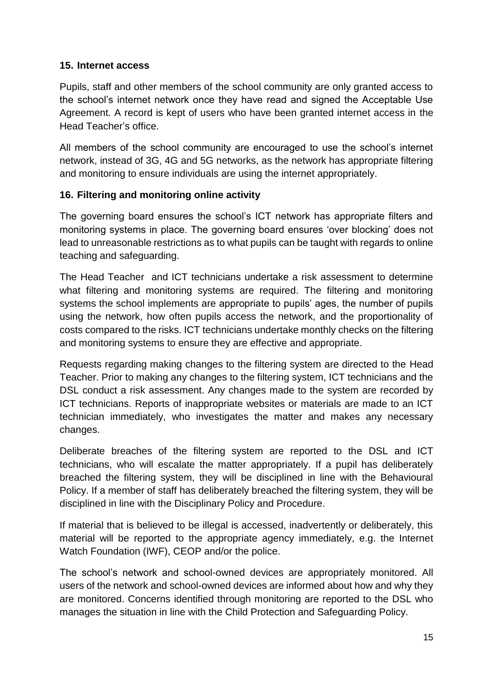#### **15. Internet access**

Pupils, staff and other members of the school community are only granted access to the school's internet network once they have read and signed the Acceptable Use Agreement. A record is kept of users who have been granted internet access in the Head Teacher's office.

All members of the school community are encouraged to use the school's internet network, instead of 3G, 4G and 5G networks, as the network has appropriate filtering and monitoring to ensure individuals are using the internet appropriately.

#### **16. Filtering and monitoring online activity**

The governing board ensures the school's ICT network has appropriate filters and monitoring systems in place. The governing board ensures 'over blocking' does not lead to unreasonable restrictions as to what pupils can be taught with regards to online teaching and safeguarding.

The Head Teacher and ICT technicians undertake a risk assessment to determine what filtering and monitoring systems are required. The filtering and monitoring systems the school implements are appropriate to pupils' ages, the number of pupils using the network, how often pupils access the network, and the proportionality of costs compared to the risks. ICT technicians undertake monthly checks on the filtering and monitoring systems to ensure they are effective and appropriate.

Requests regarding making changes to the filtering system are directed to the Head Teacher. Prior to making any changes to the filtering system, ICT technicians and the DSL conduct a risk assessment. Any changes made to the system are recorded by ICT technicians. Reports of inappropriate websites or materials are made to an ICT technician immediately, who investigates the matter and makes any necessary changes.

Deliberate breaches of the filtering system are reported to the DSL and ICT technicians, who will escalate the matter appropriately. If a pupil has deliberately breached the filtering system, they will be disciplined in line with the Behavioural Policy. If a member of staff has deliberately breached the filtering system, they will be disciplined in line with the Disciplinary Policy and Procedure.

If material that is believed to be illegal is accessed, inadvertently or deliberately, this material will be reported to the appropriate agency immediately, e.g. the Internet Watch Foundation (IWF), CEOP and/or the police.

The school's network and school-owned devices are appropriately monitored. All users of the network and school-owned devices are informed about how and why they are monitored. Concerns identified through monitoring are reported to the DSL who manages the situation in line with the Child Protection and Safeguarding Policy.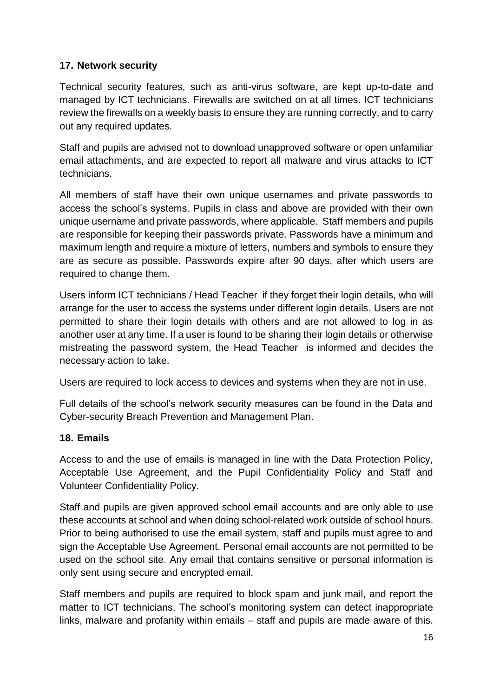# **17. Network security**

Technical security features, such as anti-virus software, are kept up-to-date and managed by ICT technicians. Firewalls are switched on at all times. ICT technicians review the firewalls on a weekly basis to ensure they are running correctly, and to carry out any required updates.

Staff and pupils are advised not to download unapproved software or open unfamiliar email attachments, and are expected to report all malware and virus attacks to ICT technicians.

All members of staff have their own unique usernames and private passwords to access the school's systems. Pupils in class and above are provided with their own unique username and private passwords, where applicable. Staff members and pupils are responsible for keeping their passwords private. Passwords have a minimum and maximum length and require a mixture of letters, numbers and symbols to ensure they are as secure as possible. Passwords expire after 90 days, after which users are required to change them.

Users inform ICT technicians / Head Teacher if they forget their login details, who will arrange for the user to access the systems under different login details. Users are not permitted to share their login details with others and are not allowed to log in as another user at any time. If a user is found to be sharing their login details or otherwise mistreating the password system, the Head Teacher is informed and decides the necessary action to take.

Users are required to lock access to devices and systems when they are not in use.

Full details of the school's network security measures can be found in the Data and Cyber-security Breach Prevention and Management Plan.

#### **18. Emails**

Access to and the use of emails is managed in line with the Data Protection Policy, Acceptable Use Agreement, and the Pupil Confidentiality Policy and Staff and Volunteer Confidentiality Policy.

Staff and pupils are given approved school email accounts and are only able to use these accounts at school and when doing school-related work outside of school hours. Prior to being authorised to use the email system, staff and pupils must agree to and sign the Acceptable Use Agreement. Personal email accounts are not permitted to be used on the school site. Any email that contains sensitive or personal information is only sent using secure and encrypted email.

Staff members and pupils are required to block spam and junk mail, and report the matter to ICT technicians. The school's monitoring system can detect inappropriate links, malware and profanity within emails – staff and pupils are made aware of this.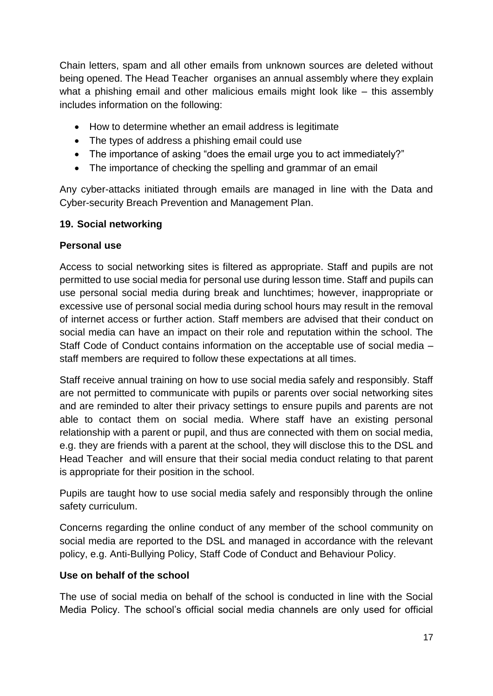Chain letters, spam and all other emails from unknown sources are deleted without being opened. The Head Teacher organises an annual assembly where they explain what a phishing email and other malicious emails might look like – this assembly includes information on the following:

- How to determine whether an email address is legitimate
- The types of address a phishing email could use
- The importance of asking "does the email urge you to act immediately?"
- The importance of checking the spelling and grammar of an email

Any cyber-attacks initiated through emails are managed in line with the Data and Cyber-security Breach Prevention and Management Plan.

### **19. Social networking**

### **Personal use**

Access to social networking sites is filtered as appropriate. Staff and pupils are not permitted to use social media for personal use during lesson time. Staff and pupils can use personal social media during break and lunchtimes; however, inappropriate or excessive use of personal social media during school hours may result in the removal of internet access or further action. Staff members are advised that their conduct on social media can have an impact on their role and reputation within the school. The Staff Code of Conduct contains information on the acceptable use of social media – staff members are required to follow these expectations at all times.

Staff receive annual training on how to use social media safely and responsibly. Staff are not permitted to communicate with pupils or parents over social networking sites and are reminded to alter their privacy settings to ensure pupils and parents are not able to contact them on social media. Where staff have an existing personal relationship with a parent or pupil, and thus are connected with them on social media, e.g. they are friends with a parent at the school, they will disclose this to the DSL and Head Teacher and will ensure that their social media conduct relating to that parent is appropriate for their position in the school.

Pupils are taught how to use social media safely and responsibly through the online safety curriculum.

Concerns regarding the online conduct of any member of the school community on social media are reported to the DSL and managed in accordance with the relevant policy, e.g. Anti-Bullying Policy, Staff Code of Conduct and Behaviour Policy.

# **Use on behalf of the school**

The use of social media on behalf of the school is conducted in line with the Social Media Policy. The school's official social media channels are only used for official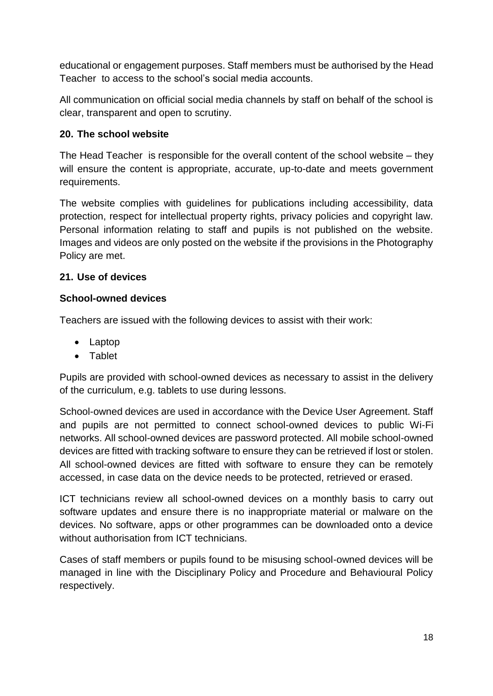educational or engagement purposes. Staff members must be authorised by the Head Teacher to access to the school's social media accounts.

All communication on official social media channels by staff on behalf of the school is clear, transparent and open to scrutiny.

#### **20. The school website**

The Head Teacher is responsible for the overall content of the school website – they will ensure the content is appropriate, accurate, up-to-date and meets government requirements.

The website complies with guidelines for publications including accessibility, data protection, respect for intellectual property rights, privacy policies and copyright law. Personal information relating to staff and pupils is not published on the website. Images and videos are only posted on the website if the provisions in the Photography Policy are met.

### **21. Use of devices**

#### **School-owned devices**

Teachers are issued with the following devices to assist with their work:

- Laptop
- Tablet

Pupils are provided with school-owned devices as necessary to assist in the delivery of the curriculum, e.g. tablets to use during lessons.

School-owned devices are used in accordance with the Device User Agreement. Staff and pupils are not permitted to connect school-owned devices to public Wi-Fi networks. All school-owned devices are password protected. All mobile school-owned devices are fitted with tracking software to ensure they can be retrieved if lost or stolen. All school-owned devices are fitted with software to ensure they can be remotely accessed, in case data on the device needs to be protected, retrieved or erased.

ICT technicians review all school-owned devices on a monthly basis to carry out software updates and ensure there is no inappropriate material or malware on the devices. No software, apps or other programmes can be downloaded onto a device without authorisation from ICT technicians.

Cases of staff members or pupils found to be misusing school-owned devices will be managed in line with the Disciplinary Policy and Procedure and Behavioural Policy respectively.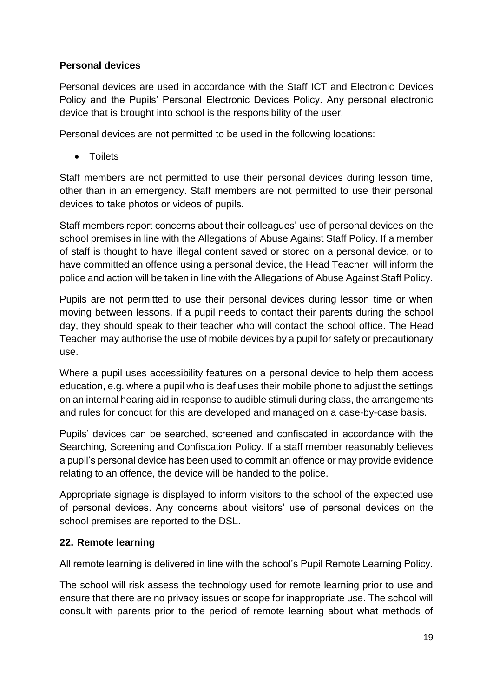### **Personal devices**

Personal devices are used in accordance with the Staff ICT and Electronic Devices Policy and the Pupils' Personal Electronic Devices Policy. Any personal electronic device that is brought into school is the responsibility of the user.

Personal devices are not permitted to be used in the following locations:

**•** Toilets

Staff members are not permitted to use their personal devices during lesson time, other than in an emergency. Staff members are not permitted to use their personal devices to take photos or videos of pupils.

Staff members report concerns about their colleagues' use of personal devices on the school premises in line with the Allegations of Abuse Against Staff Policy. If a member of staff is thought to have illegal content saved or stored on a personal device, or to have committed an offence using a personal device, the Head Teacher will inform the police and action will be taken in line with the Allegations of Abuse Against Staff Policy.

Pupils are not permitted to use their personal devices during lesson time or when moving between lessons. If a pupil needs to contact their parents during the school day, they should speak to their teacher who will contact the school office. The Head Teacher may authorise the use of mobile devices by a pupil for safety or precautionary use.

Where a pupil uses accessibility features on a personal device to help them access education, e.g. where a pupil who is deaf uses their mobile phone to adjust the settings on an internal hearing aid in response to audible stimuli during class, the arrangements and rules for conduct for this are developed and managed on a case-by-case basis.

Pupils' devices can be searched, screened and confiscated in accordance with the Searching, Screening and Confiscation Policy. If a staff member reasonably believes a pupil's personal device has been used to commit an offence or may provide evidence relating to an offence, the device will be handed to the police.

Appropriate signage is displayed to inform visitors to the school of the expected use of personal devices. Any concerns about visitors' use of personal devices on the school premises are reported to the DSL.

# **22. Remote learning**

All remote learning is delivered in line with the school's Pupil Remote Learning Policy.

The school will risk assess the technology used for remote learning prior to use and ensure that there are no privacy issues or scope for inappropriate use. The school will consult with parents prior to the period of remote learning about what methods of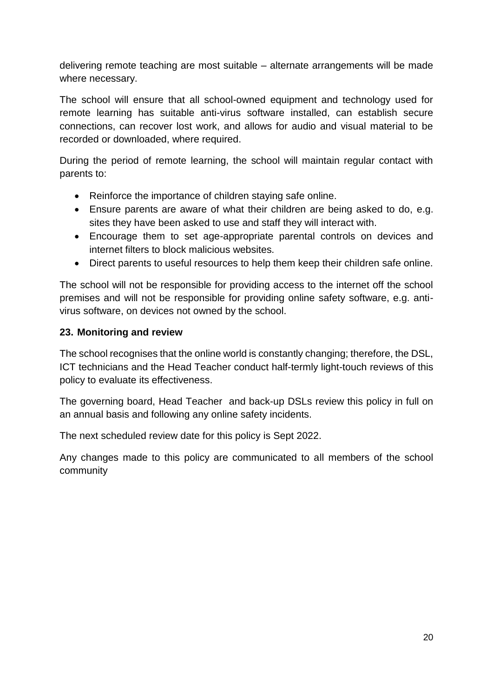delivering remote teaching are most suitable – alternate arrangements will be made where necessary.

The school will ensure that all school-owned equipment and technology used for remote learning has suitable anti-virus software installed, can establish secure connections, can recover lost work, and allows for audio and visual material to be recorded or downloaded, where required.

During the period of remote learning, the school will maintain regular contact with parents to:

- Reinforce the importance of children staying safe online.
- Ensure parents are aware of what their children are being asked to do, e.g. sites they have been asked to use and staff they will interact with.
- Encourage them to set age-appropriate parental controls on devices and internet filters to block malicious websites.
- Direct parents to useful resources to help them keep their children safe online.

The school will not be responsible for providing access to the internet off the school premises and will not be responsible for providing online safety software, e.g. antivirus software, on devices not owned by the school.

#### **23. Monitoring and review**

The school recognises that the online world is constantly changing; therefore, the DSL, ICT technicians and the Head Teacher conduct half-termly light-touch reviews of this policy to evaluate its effectiveness.

The governing board, Head Teacher and back-up DSLs review this policy in full on an annual basis and following any online safety incidents.

The next scheduled review date for this policy is Sept 2022.

Any changes made to this policy are communicated to all members of the school community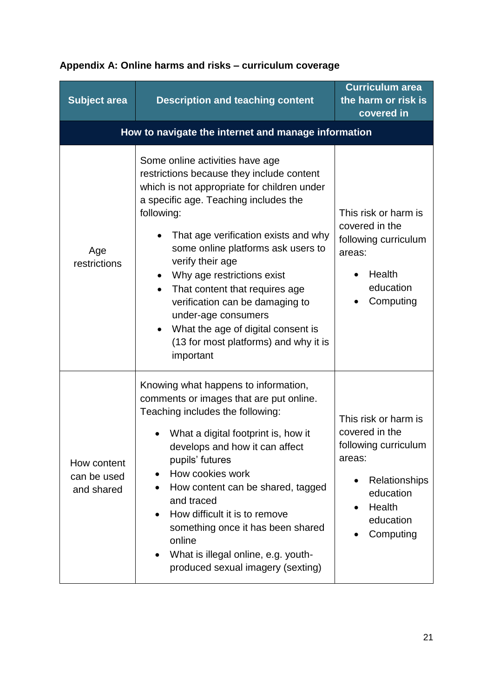| <b>Subject area</b>                      | <b>Description and teaching content</b>                                                                                                                                                                                                                                                                                                                                                                                                                                                                    | <b>Curriculum area</b><br>the harm or risk is<br>covered in                                                                                |  |  |
|------------------------------------------|------------------------------------------------------------------------------------------------------------------------------------------------------------------------------------------------------------------------------------------------------------------------------------------------------------------------------------------------------------------------------------------------------------------------------------------------------------------------------------------------------------|--------------------------------------------------------------------------------------------------------------------------------------------|--|--|
|                                          | How to navigate the internet and manage information                                                                                                                                                                                                                                                                                                                                                                                                                                                        |                                                                                                                                            |  |  |
| Age<br>restrictions                      | Some online activities have age<br>restrictions because they include content<br>which is not appropriate for children under<br>a specific age. Teaching includes the<br>following:<br>That age verification exists and why<br>some online platforms ask users to<br>verify their age<br>Why age restrictions exist<br>That content that requires age<br>verification can be damaging to<br>under-age consumers<br>What the age of digital consent is<br>(13 for most platforms) and why it is<br>important | This risk or harm is<br>covered in the<br>following curriculum<br>areas:<br>Health<br>education<br>Computing                               |  |  |
| How content<br>can be used<br>and shared | Knowing what happens to information,<br>comments or images that are put online.<br>Teaching includes the following:<br>What a digital footprint is, how it<br>develops and how it can affect<br>pupils' futures<br>How cookies work<br>$\bullet$<br>How content can be shared, tagged<br>and traced<br>How difficult it is to remove<br>$\bullet$<br>something once it has been shared<br>online<br>What is illegal online, e.g. youth-<br>$\bullet$<br>produced sexual imagery (sexting)                  | This risk or harm is<br>covered in the<br>following curriculum<br>areas:<br>Relationships<br>education<br>Health<br>education<br>Computing |  |  |

# <span id="page-21-0"></span>**Appendix A: Online harms and risks – curriculum coverage**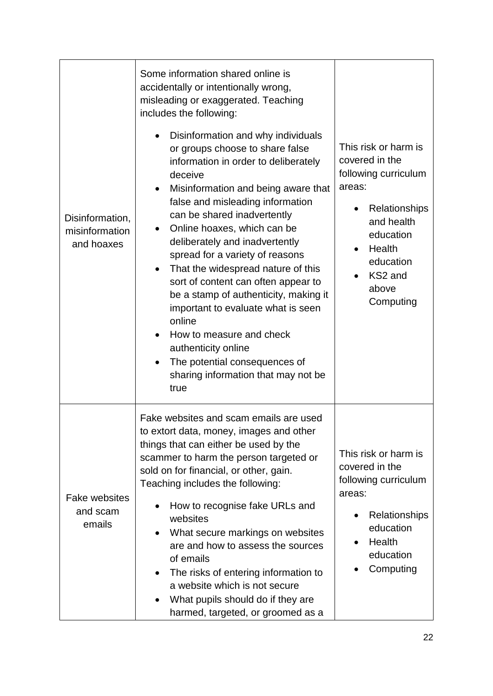|                                                 | Some information shared online is<br>accidentally or intentionally wrong,<br>misleading or exaggerated. Teaching<br>includes the following:                                                                                                                                                                                                                                                                                                                                                                                                                                                                                                                               |                                                                                                                                                                              |
|-------------------------------------------------|---------------------------------------------------------------------------------------------------------------------------------------------------------------------------------------------------------------------------------------------------------------------------------------------------------------------------------------------------------------------------------------------------------------------------------------------------------------------------------------------------------------------------------------------------------------------------------------------------------------------------------------------------------------------------|------------------------------------------------------------------------------------------------------------------------------------------------------------------------------|
| Disinformation,<br>misinformation<br>and hoaxes | Disinformation and why individuals<br>or groups choose to share false<br>information in order to deliberately<br>deceive<br>Misinformation and being aware that<br>false and misleading information<br>can be shared inadvertently<br>Online hoaxes, which can be<br>deliberately and inadvertently<br>spread for a variety of reasons<br>That the widespread nature of this<br>$\bullet$<br>sort of content can often appear to<br>be a stamp of authenticity, making it<br>important to evaluate what is seen<br>online<br>How to measure and check<br>$\bullet$<br>authenticity online<br>The potential consequences of<br>sharing information that may not be<br>true | This risk or harm is<br>covered in the<br>following curriculum<br>areas:<br>Relationships<br>and health<br>education<br>Health<br>education<br>KS2 and<br>above<br>Computing |
| <b>Fake websites</b><br>and scam<br>emails      | Fake websites and scam emails are used<br>to extort data, money, images and other<br>things that can either be used by the<br>scammer to harm the person targeted or<br>sold on for financial, or other, gain.<br>Teaching includes the following:<br>How to recognise fake URLs and<br>websites<br>What secure markings on websites<br>$\bullet$<br>are and how to assess the sources<br>of emails<br>The risks of entering information to<br>$\bullet$<br>a website which is not secure<br>What pupils should do if they are<br>harmed, targeted, or groomed as a                                                                                                       | This risk or harm is<br>covered in the<br>following curriculum<br>areas:<br>Relationships<br>education<br>Health<br>education<br>Computing                                   |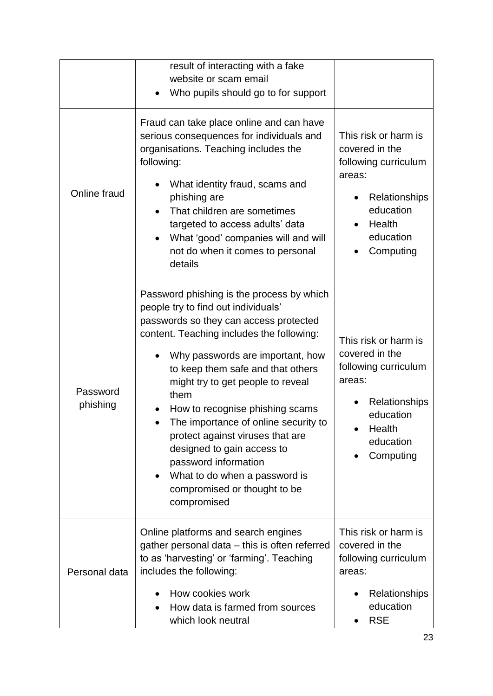|                      | result of interacting with a fake<br>website or scam email<br>Who pupils should go to for support                                                                                                                                                                                                                                                                                                                                                                                                                                                  |                                                                                                                                            |
|----------------------|----------------------------------------------------------------------------------------------------------------------------------------------------------------------------------------------------------------------------------------------------------------------------------------------------------------------------------------------------------------------------------------------------------------------------------------------------------------------------------------------------------------------------------------------------|--------------------------------------------------------------------------------------------------------------------------------------------|
| Online fraud         | Fraud can take place online and can have<br>serious consequences for individuals and<br>organisations. Teaching includes the<br>following:<br>What identity fraud, scams and<br>phishing are<br>That children are sometimes<br>targeted to access adults' data<br>What 'good' companies will and will<br>$\bullet$<br>not do when it comes to personal<br>details                                                                                                                                                                                  | This risk or harm is<br>covered in the<br>following curriculum<br>areas:<br>Relationships<br>education<br>Health<br>education<br>Computing |
| Password<br>phishing | Password phishing is the process by which<br>people try to find out individuals'<br>passwords so they can access protected<br>content. Teaching includes the following:<br>Why passwords are important, how<br>to keep them safe and that others<br>might try to get people to reveal<br>them<br>How to recognise phishing scams<br>The importance of online security to<br>protect against viruses that are<br>designed to gain access to<br>password information<br>What to do when a password is<br>compromised or thought to be<br>compromised | This risk or harm is<br>covered in the<br>following curriculum<br>areas:<br>Relationships<br>education<br>Health<br>education<br>Computing |
| Personal data        | Online platforms and search engines<br>gather personal data – this is often referred<br>to as 'harvesting' or 'farming'. Teaching<br>includes the following:<br>How cookies work<br>How data is farmed from sources<br>which look neutral                                                                                                                                                                                                                                                                                                          | This risk or harm is<br>covered in the<br>following curriculum<br>areas:<br>Relationships<br>education<br><b>RSE</b>                       |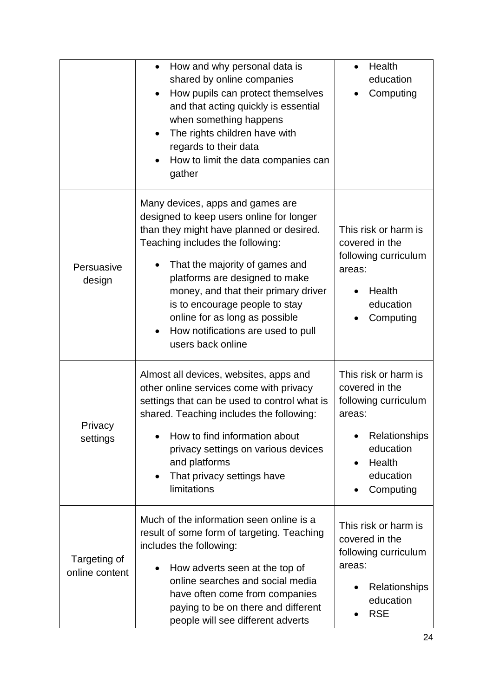|                                | How and why personal data is<br>$\bullet$<br>shared by online companies<br>How pupils can protect themselves<br>and that acting quickly is essential<br>when something happens<br>The rights children have with<br>$\bullet$<br>regards to their data<br>How to limit the data companies can<br>gather                                                                                                  | Health<br>$\bullet$<br>education<br>Computing                                                                                                                        |
|--------------------------------|---------------------------------------------------------------------------------------------------------------------------------------------------------------------------------------------------------------------------------------------------------------------------------------------------------------------------------------------------------------------------------------------------------|----------------------------------------------------------------------------------------------------------------------------------------------------------------------|
| Persuasive<br>design           | Many devices, apps and games are<br>designed to keep users online for longer<br>than they might have planned or desired.<br>Teaching includes the following:<br>That the majority of games and<br>platforms are designed to make<br>money, and that their primary driver<br>is to encourage people to stay<br>online for as long as possible<br>How notifications are used to pull<br>users back online | This risk or harm is<br>covered in the<br>following curriculum<br>areas:<br>Health<br>education<br>Computing                                                         |
| Privacy<br>settings            | Almost all devices, websites, apps and<br>other online services come with privacy<br>settings that can be used to control what is<br>shared. Teaching includes the following:<br>How to find information about<br>privacy settings on various devices<br>and platforms<br>That privacy settings have<br>$\bullet$<br>limitations                                                                        | This risk or harm is<br>covered in the<br>following curriculum<br>areas:<br>Relationships<br>$\bullet$<br>education<br>Health<br>$\bullet$<br>education<br>Computing |
| Targeting of<br>online content | Much of the information seen online is a<br>result of some form of targeting. Teaching<br>includes the following:<br>How adverts seen at the top of<br>online searches and social media<br>have often come from companies<br>paying to be on there and different<br>people will see different adverts                                                                                                   | This risk or harm is<br>covered in the<br>following curriculum<br>areas:<br>Relationships<br>education<br><b>RSE</b>                                                 |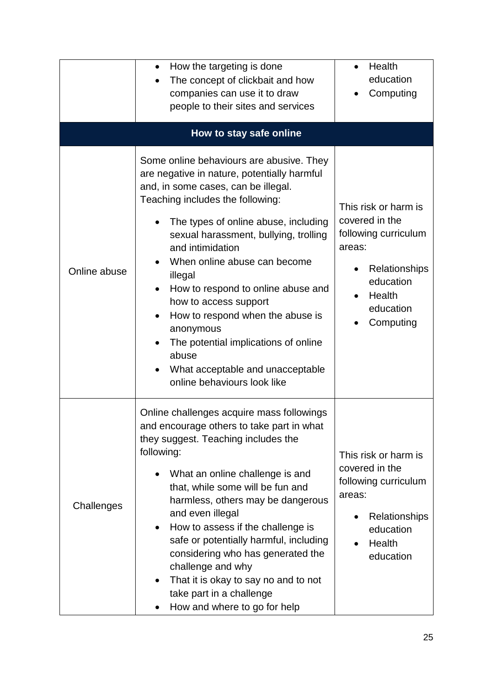|              | How the targeting is done<br>The concept of clickbait and how<br>companies can use it to draw<br>people to their sites and services                                                                                                                                                                                                                                                                                                                                                                                                                    | Health<br>education<br>Computing                                                                                                           |
|--------------|--------------------------------------------------------------------------------------------------------------------------------------------------------------------------------------------------------------------------------------------------------------------------------------------------------------------------------------------------------------------------------------------------------------------------------------------------------------------------------------------------------------------------------------------------------|--------------------------------------------------------------------------------------------------------------------------------------------|
|              | How to stay safe online                                                                                                                                                                                                                                                                                                                                                                                                                                                                                                                                |                                                                                                                                            |
| Online abuse | Some online behaviours are abusive. They<br>are negative in nature, potentially harmful<br>and, in some cases, can be illegal.<br>Teaching includes the following:<br>The types of online abuse, including<br>sexual harassment, bullying, trolling<br>and intimidation<br>When online abuse can become<br>illegal<br>How to respond to online abuse and<br>how to access support<br>How to respond when the abuse is<br>anonymous<br>The potential implications of online<br>abuse<br>What acceptable and unacceptable<br>online behaviours look like | This risk or harm is<br>covered in the<br>following curriculum<br>areas:<br>Relationships<br>education<br>Health<br>education<br>Computing |
| Challenges   | Online challenges acquire mass followings<br>and encourage others to take part in what<br>they suggest. Teaching includes the<br>following:<br>What an online challenge is and<br>that, while some will be fun and<br>harmless, others may be dangerous<br>and even illegal<br>How to assess if the challenge is<br>٠<br>safe or potentially harmful, including<br>considering who has generated the<br>challenge and why<br>That it is okay to say no and to not<br>٠<br>take part in a challenge<br>How and where to go for help                     | This risk or harm is<br>covered in the<br>following curriculum<br>areas:<br>Relationships<br>education<br>Health<br>education              |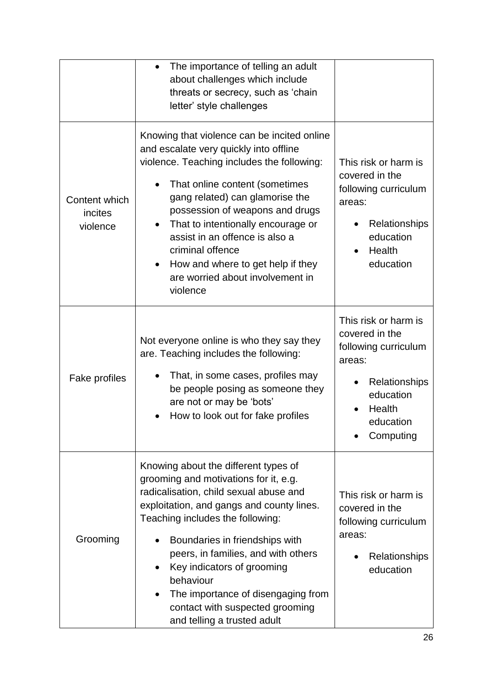|                                      | The importance of telling an adult<br>$\bullet$<br>about challenges which include<br>threats or secrecy, such as 'chain<br>letter' style challenges                                                                                                                                                                                                                                                                                                    |                                                                                                                                            |
|--------------------------------------|--------------------------------------------------------------------------------------------------------------------------------------------------------------------------------------------------------------------------------------------------------------------------------------------------------------------------------------------------------------------------------------------------------------------------------------------------------|--------------------------------------------------------------------------------------------------------------------------------------------|
| Content which<br>incites<br>violence | Knowing that violence can be incited online<br>and escalate very quickly into offline<br>violence. Teaching includes the following:<br>That online content (sometimes<br>gang related) can glamorise the<br>possession of weapons and drugs<br>That to intentionally encourage or<br>$\bullet$<br>assist in an offence is also a<br>criminal offence<br>How and where to get help if they<br>$\bullet$<br>are worried about involvement in<br>violence | This risk or harm is<br>covered in the<br>following curriculum<br>areas:<br>Relationships<br>education<br>Health<br>education              |
| Fake profiles                        | Not everyone online is who they say they<br>are. Teaching includes the following:<br>That, in some cases, profiles may<br>be people posing as someone they<br>are not or may be 'bots'<br>How to look out for fake profiles                                                                                                                                                                                                                            | This risk or harm is<br>covered in the<br>following curriculum<br>areas:<br>Relationships<br>education<br>Health<br>education<br>Computing |
| Grooming                             | Knowing about the different types of<br>grooming and motivations for it, e.g.<br>radicalisation, child sexual abuse and<br>exploitation, and gangs and county lines.<br>Teaching includes the following:<br>Boundaries in friendships with<br>peers, in families, and with others<br>Key indicators of grooming<br>behaviour<br>The importance of disengaging from<br>contact with suspected grooming<br>and telling a trusted adult                   | This risk or harm is<br>covered in the<br>following curriculum<br>areas:<br>Relationships<br>education                                     |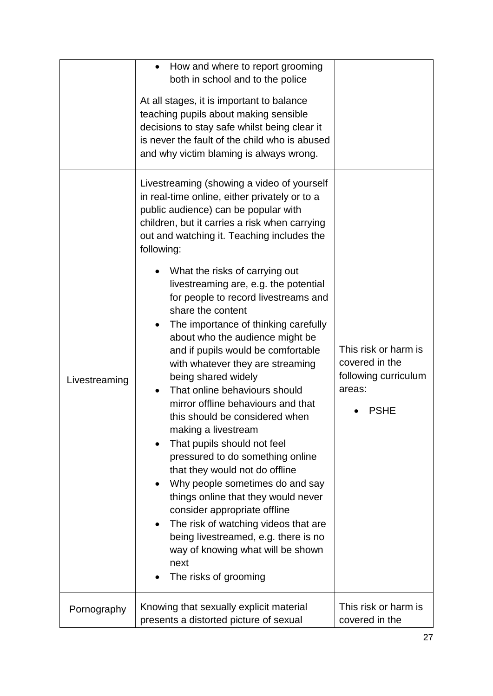|               | How and where to report grooming<br>$\bullet$<br>both in school and to the police<br>At all stages, it is important to balance<br>teaching pupils about making sensible<br>decisions to stay safe whilst being clear it<br>is never the fault of the child who is abused<br>and why victim blaming is always wrong.                                                                                                                                                                                                                                                                                                                                                                                                                                                                                                                                                                                                                                                                                                                                                                                 |                                                                                  |
|---------------|-----------------------------------------------------------------------------------------------------------------------------------------------------------------------------------------------------------------------------------------------------------------------------------------------------------------------------------------------------------------------------------------------------------------------------------------------------------------------------------------------------------------------------------------------------------------------------------------------------------------------------------------------------------------------------------------------------------------------------------------------------------------------------------------------------------------------------------------------------------------------------------------------------------------------------------------------------------------------------------------------------------------------------------------------------------------------------------------------------|----------------------------------------------------------------------------------|
| Livestreaming | Livestreaming (showing a video of yourself<br>in real-time online, either privately or to a<br>public audience) can be popular with<br>children, but it carries a risk when carrying<br>out and watching it. Teaching includes the<br>following:<br>What the risks of carrying out<br>livestreaming are, e.g. the potential<br>for people to record livestreams and<br>share the content<br>The importance of thinking carefully<br>$\bullet$<br>about who the audience might be<br>and if pupils would be comfortable<br>with whatever they are streaming<br>being shared widely<br>That online behaviours should<br>mirror offline behaviours and that<br>this should be considered when<br>making a livestream<br>That pupils should not feel<br>pressured to do something online<br>that they would not do offline<br>Why people sometimes do and say<br>things online that they would never<br>consider appropriate offline<br>The risk of watching videos that are<br>$\bullet$<br>being livestreamed, e.g. there is no<br>way of knowing what will be shown<br>next<br>The risks of grooming | This risk or harm is<br>covered in the<br>following curriculum<br>areas:<br>PSHE |
| Pornography   | Knowing that sexually explicit material<br>presents a distorted picture of sexual                                                                                                                                                                                                                                                                                                                                                                                                                                                                                                                                                                                                                                                                                                                                                                                                                                                                                                                                                                                                                   | This risk or harm is<br>covered in the                                           |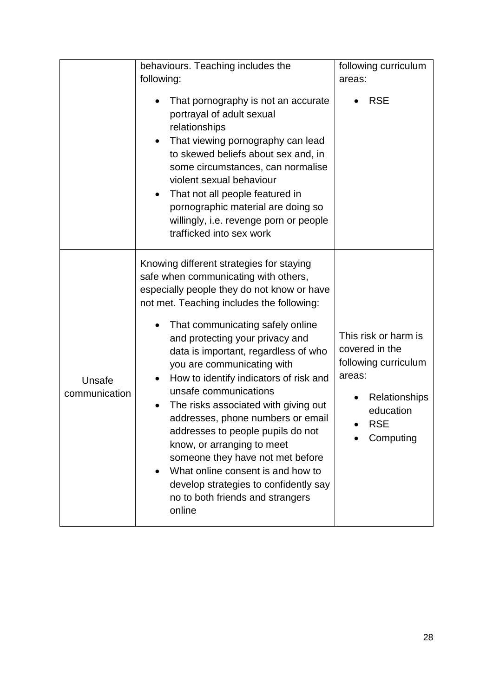|                         | behaviours. Teaching includes the                                                                                                                                                                                                                                                                                                                                                                                                                                                                                                                                                                                                                                                                                        | following curriculum                                                                                                              |
|-------------------------|--------------------------------------------------------------------------------------------------------------------------------------------------------------------------------------------------------------------------------------------------------------------------------------------------------------------------------------------------------------------------------------------------------------------------------------------------------------------------------------------------------------------------------------------------------------------------------------------------------------------------------------------------------------------------------------------------------------------------|-----------------------------------------------------------------------------------------------------------------------------------|
|                         | following:                                                                                                                                                                                                                                                                                                                                                                                                                                                                                                                                                                                                                                                                                                               | areas:                                                                                                                            |
|                         | That pornography is not an accurate<br>portrayal of adult sexual<br>relationships<br>That viewing pornography can lead<br>to skewed beliefs about sex and, in<br>some circumstances, can normalise<br>violent sexual behaviour<br>That not all people featured in<br>٠<br>pornographic material are doing so<br>willingly, i.e. revenge porn or people<br>trafficked into sex work                                                                                                                                                                                                                                                                                                                                       | <b>RSE</b>                                                                                                                        |
| Unsafe<br>communication | Knowing different strategies for staying<br>safe when communicating with others,<br>especially people they do not know or have<br>not met. Teaching includes the following:<br>That communicating safely online<br>and protecting your privacy and<br>data is important, regardless of who<br>you are communicating with<br>How to identify indicators of risk and<br>unsafe communications<br>The risks associated with giving out<br>addresses, phone numbers or email<br>addresses to people pupils do not<br>know, or arranging to meet<br>someone they have not met before<br>What online consent is and how to<br>$\bullet$<br>develop strategies to confidently say<br>no to both friends and strangers<br>online | This risk or harm is<br>covered in the<br>following curriculum<br>areas:<br>Relationships<br>education<br><b>RSE</b><br>Computing |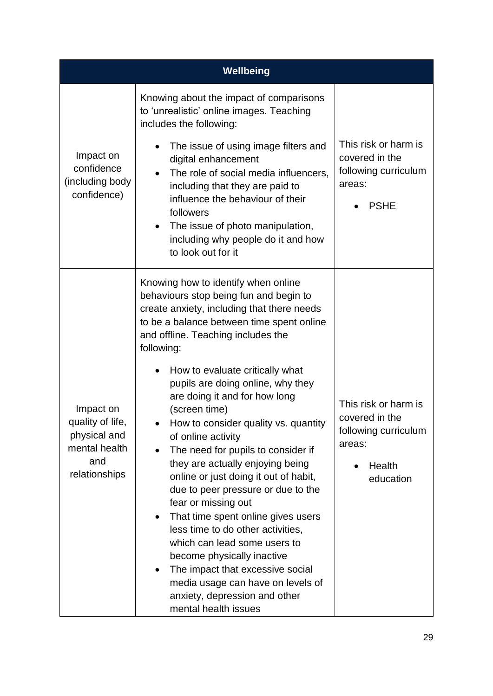| Wellbeing                                                                              |                                                                                                                                                                                                                                                                                                                                                                                                                                                                                                                                                                                                                                                                                                                                                                                                                                                                                                   |                                                                                                 |
|----------------------------------------------------------------------------------------|---------------------------------------------------------------------------------------------------------------------------------------------------------------------------------------------------------------------------------------------------------------------------------------------------------------------------------------------------------------------------------------------------------------------------------------------------------------------------------------------------------------------------------------------------------------------------------------------------------------------------------------------------------------------------------------------------------------------------------------------------------------------------------------------------------------------------------------------------------------------------------------------------|-------------------------------------------------------------------------------------------------|
| Impact on<br>confidence<br>(including body<br>confidence)                              | Knowing about the impact of comparisons<br>to 'unrealistic' online images. Teaching<br>includes the following:<br>The issue of using image filters and<br>digital enhancement<br>The role of social media influencers,<br>including that they are paid to<br>influence the behaviour of their<br>followers<br>The issue of photo manipulation,<br>including why people do it and how<br>to look out for it                                                                                                                                                                                                                                                                                                                                                                                                                                                                                        | This risk or harm is<br>covered in the<br>following curriculum<br>areas:<br><b>PSHE</b>         |
| Impact on<br>quality of life,<br>physical and<br>mental health<br>and<br>relationships | Knowing how to identify when online<br>behaviours stop being fun and begin to<br>create anxiety, including that there needs<br>to be a balance between time spent online<br>and offline. Teaching includes the<br>following:<br>How to evaluate critically what<br>pupils are doing online, why they<br>are doing it and for how long<br>(screen time)<br>How to consider quality vs. quantity<br>of online activity<br>The need for pupils to consider if<br>they are actually enjoying being<br>online or just doing it out of habit,<br>due to peer pressure or due to the<br>fear or missing out<br>That time spent online gives users<br>٠<br>less time to do other activities,<br>which can lead some users to<br>become physically inactive<br>The impact that excessive social<br>$\bullet$<br>media usage can have on levels of<br>anxiety, depression and other<br>mental health issues | This risk or harm is<br>covered in the<br>following curriculum<br>areas:<br>Health<br>education |